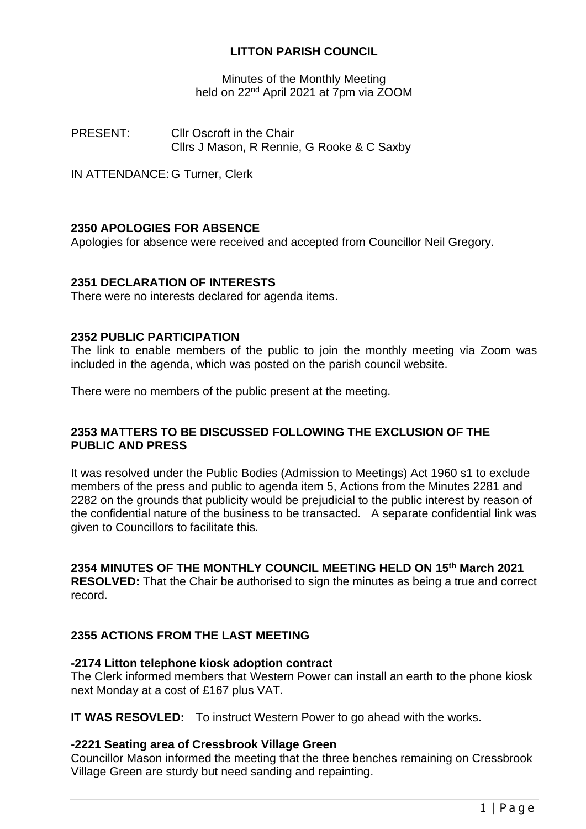# **LITTON PARISH COUNCIL**

Minutes of the Monthly Meeting held on 22<sup>nd</sup> April 2021 at 7pm via ZOOM

PRESENT: Cllr Oscroft in the Chair Cllrs J Mason, R Rennie, G Rooke & C Saxby

IN ATTENDANCE: G Turner, Clerk

# **2350 APOLOGIES FOR ABSENCE**

Apologies for absence were received and accepted from Councillor Neil Gregory.

## **2351 DECLARATION OF INTERESTS**

There were no interests declared for agenda items.

### **2352 PUBLIC PARTICIPATION**

The link to enable members of the public to join the monthly meeting via Zoom was included in the agenda, which was posted on the parish council website.

There were no members of the public present at the meeting.

### **2353 MATTERS TO BE DISCUSSED FOLLOWING THE EXCLUSION OF THE PUBLIC AND PRESS**

It was resolved under the Public Bodies (Admission to Meetings) Act 1960 s1 to exclude members of the press and public to agenda item 5, Actions from the Minutes 2281 and 2282 on the grounds that publicity would be prejudicial to the public interest by reason of the confidential nature of the business to be transacted. A separate confidential link was given to Councillors to facilitate this.

# **2354 MINUTES OF THE MONTHLY COUNCIL MEETING HELD ON 15 th March 2021**

**RESOLVED:** That the Chair be authorised to sign the minutes as being a true and correct record.

## **2355 ACTIONS FROM THE LAST MEETING**

## **-2174 Litton telephone kiosk adoption contract**

The Clerk informed members that Western Power can install an earth to the phone kiosk next Monday at a cost of £167 plus VAT.

**IT WAS RESOVLED:** To instruct Western Power to go ahead with the works.

## **-2221 Seating area of Cressbrook Village Green**

Councillor Mason informed the meeting that the three benches remaining on Cressbrook Village Green are sturdy but need sanding and repainting.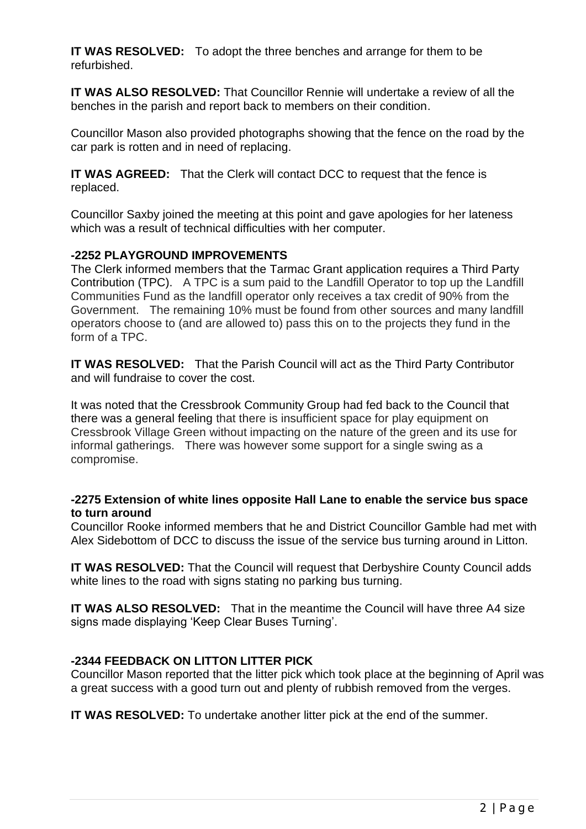**IT WAS RESOLVED:** To adopt the three benches and arrange for them to be refurbished.

**IT WAS ALSO RESOLVED:** That Councillor Rennie will undertake a review of all the benches in the parish and report back to members on their condition.

Councillor Mason also provided photographs showing that the fence on the road by the car park is rotten and in need of replacing.

**IT WAS AGREED:** That the Clerk will contact DCC to request that the fence is replaced.

Councillor Saxby joined the meeting at this point and gave apologies for her lateness which was a result of technical difficulties with her computer.

# **-2252 PLAYGROUND IMPROVEMENTS**

The Clerk informed members that the Tarmac Grant application requires a Third Party Contribution (TPC). A TPC is a sum paid to the Landfill Operator to top up the Landfill Communities Fund as the landfill operator only receives a tax credit of 90% from the Government. The remaining 10% must be found from other sources and many landfill operators choose to (and are allowed to) pass this on to the projects they fund in the form of a TPC.

**IT WAS RESOLVED:** That the Parish Council will act as the Third Party Contributor and will fundraise to cover the cost.

It was noted that the Cressbrook Community Group had fed back to the Council that there was a general feeling that there is insufficient space for play equipment on Cressbrook Village Green without impacting on the nature of the green and its use for informal gatherings. There was however some support for a single swing as a compromise.

### **-2275 Extension of white lines opposite Hall Lane to enable the service bus space to turn around**

Councillor Rooke informed members that he and District Councillor Gamble had met with Alex Sidebottom of DCC to discuss the issue of the service bus turning around in Litton.

**IT WAS RESOLVED:** That the Council will request that Derbyshire County Council adds white lines to the road with signs stating no parking bus turning.

**IT WAS ALSO RESOLVED:** That in the meantime the Council will have three A4 size signs made displaying 'Keep Clear Buses Turning'.

## **-2344 FEEDBACK ON LITTON LITTER PICK**

Councillor Mason reported that the litter pick which took place at the beginning of April was a great success with a good turn out and plenty of rubbish removed from the verges.

**IT WAS RESOLVED:** To undertake another litter pick at the end of the summer.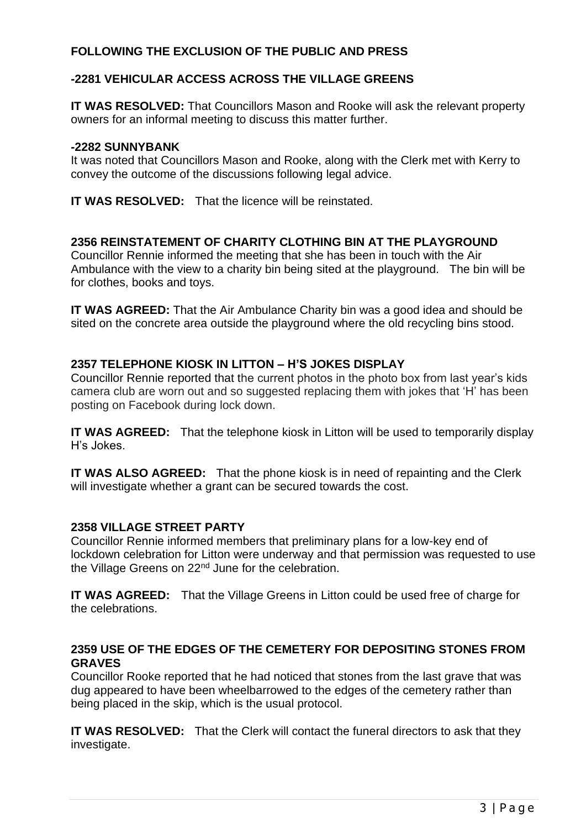# **FOLLOWING THE EXCLUSION OF THE PUBLIC AND PRESS**

# **-2281 VEHICULAR ACCESS ACROSS THE VILLAGE GREENS**

**IT WAS RESOLVED:** That Councillors Mason and Rooke will ask the relevant property owners for an informal meeting to discuss this matter further.

### **-2282 SUNNYBANK**

It was noted that Councillors Mason and Rooke, along with the Clerk met with Kerry to convey the outcome of the discussions following legal advice.

**IT WAS RESOLVED:** That the licence will be reinstated.

## **2356 REINSTATEMENT OF CHARITY CLOTHING BIN AT THE PLAYGROUND**

Councillor Rennie informed the meeting that she has been in touch with the Air Ambulance with the view to a charity bin being sited at the playground. The bin will be for clothes, books and toys.

**IT WAS AGREED:** That the Air Ambulance Charity bin was a good idea and should be sited on the concrete area outside the playground where the old recycling bins stood.

## **2357 TELEPHONE KIOSK IN LITTON – H'S JOKES DISPLAY**

Councillor Rennie reported that the current photos in the photo box from last year's kids camera club are worn out and so suggested replacing them with jokes that 'H' has been posting on Facebook during lock down.

**IT WAS AGREED:** That the telephone kiosk in Litton will be used to temporarily display H's Jokes.

**IT WAS ALSO AGREED:** That the phone kiosk is in need of repainting and the Clerk will investigate whether a grant can be secured towards the cost.

## **2358 VILLAGE STREET PARTY**

Councillor Rennie informed members that preliminary plans for a low-key end of lockdown celebration for Litton were underway and that permission was requested to use the Village Greens on 22<sup>nd</sup> June for the celebration.

**IT WAS AGREED:** That the Village Greens in Litton could be used free of charge for the celebrations.

# **2359 USE OF THE EDGES OF THE CEMETERY FOR DEPOSITING STONES FROM GRAVES**

Councillor Rooke reported that he had noticed that stones from the last grave that was dug appeared to have been wheelbarrowed to the edges of the cemetery rather than being placed in the skip, which is the usual protocol.

**IT WAS RESOLVED:** That the Clerk will contact the funeral directors to ask that they investigate.